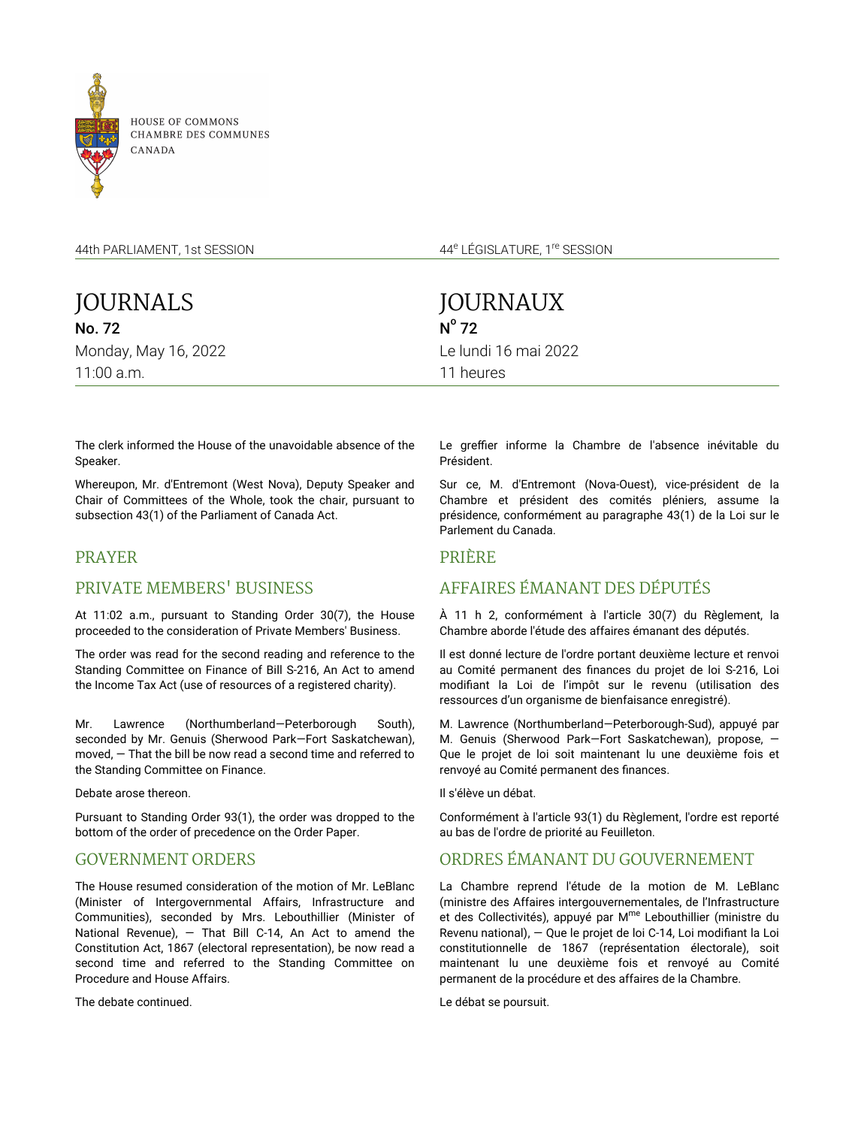

**HOUSE OF COMMONS** CHAMBRE DES COMMUNES

44th PARLIAMENT, 1st SESSION

JOURNALS No. 72 Monday, May 16, 2022 11:00 a.m.

44<sup>e</sup> LÉGISLATURE, 1<sup>re</sup> SESSION

JOURNAUX  $N^{\circ}$  72 Le lundi 16 mai 2022 11 heures

The clerk informed the House of the unavoidable absence of the Speaker.

Whereupon, Mr. d'Entremont (West Nova), Deputy Speaker and Chair of Committees of the Whole, took the chair, pursuant to subsection 43(1) of the Parliament of Canada Act.

# PRAYER

# PRIVATE MEMBERS' BUSINESS

At 11:02 a.m., pursuant to Standing Order 30(7), the House proceeded to the consideration of Private Members' Business.

The order was read for the second reading and reference to the Standing Committee on Finance of Bill S-216, An Act to amend the Income Tax Act (use of resources of a registered charity).

Mr. Lawrence (Northumberland—Peterborough South), seconded by Mr. Genuis (Sherwood Park—Fort Saskatchewan), moved, — That the bill be now read a second time and referred to the Standing Committee on Finance.

Debate arose thereon.

Pursuant to Standing Order 93(1), the order was dropped to the bottom of the order of precedence on the Order Paper.

# GOVERNMENT ORDERS

The House resumed consideration of the motion of Mr. LeBlanc (Minister of Intergovernmental Affairs, Infrastructure and Communities), seconded by Mrs. Lebouthillier (Minister of National Revenue), — That Bill C-14, An Act to amend the Constitution Act, 1867 (electoral representation), be now read a second time and referred to the Standing Committee on Procedure and House Affairs.

The debate continued.

Le greffier informe la Chambre de l'absence inévitable du Président.

Sur ce, M. d'Entremont (Nova-Ouest), vice-président de la Chambre et président des comités pléniers, assume la présidence, conformément au paragraphe 43(1) de la Loi sur le Parlement du Canada.

## PRIÈRE

# AFFAIRES ÉMANANT DES DÉPUTÉS

À 11 h 2, conformément à l'article 30(7) du Règlement, la Chambre aborde l'étude des affaires émanant des députés.

Il est donné lecture de l'ordre portant deuxième lecture et renvoi au Comité permanent des finances du projet de loi S-216, Loi modifiant la Loi de l'impôt sur le revenu (utilisation des ressources d'un organisme de bienfaisance enregistré).

M. Lawrence (Northumberland—Peterborough-Sud), appuyé par M. Genuis (Sherwood Park—Fort Saskatchewan), propose, — Que le projet de loi soit maintenant lu une deuxième fois et renvoyé au Comité permanent des finances.

Il s'élève un débat.

Conformément à l'article 93(1) du Règlement, l'ordre est reporté au bas de l'ordre de priorité au Feuilleton.

# ORDRES ÉMANANT DU GOUVERNEMENT

La Chambre reprend l'étude de la motion de M. LeBlanc (ministre des Affaires intergouvernementales, de l'Infrastructure et des Collectivités), appuyé par M<sup>me</sup> Lebouthillier (ministre du Revenu national), — Que le projet de loi C-14, Loi modifiant la Loi constitutionnelle de 1867 (représentation électorale), soit maintenant lu une deuxième fois et renvoyé au Comité permanent de la procédure et des affaires de la Chambre.

Le débat se poursuit.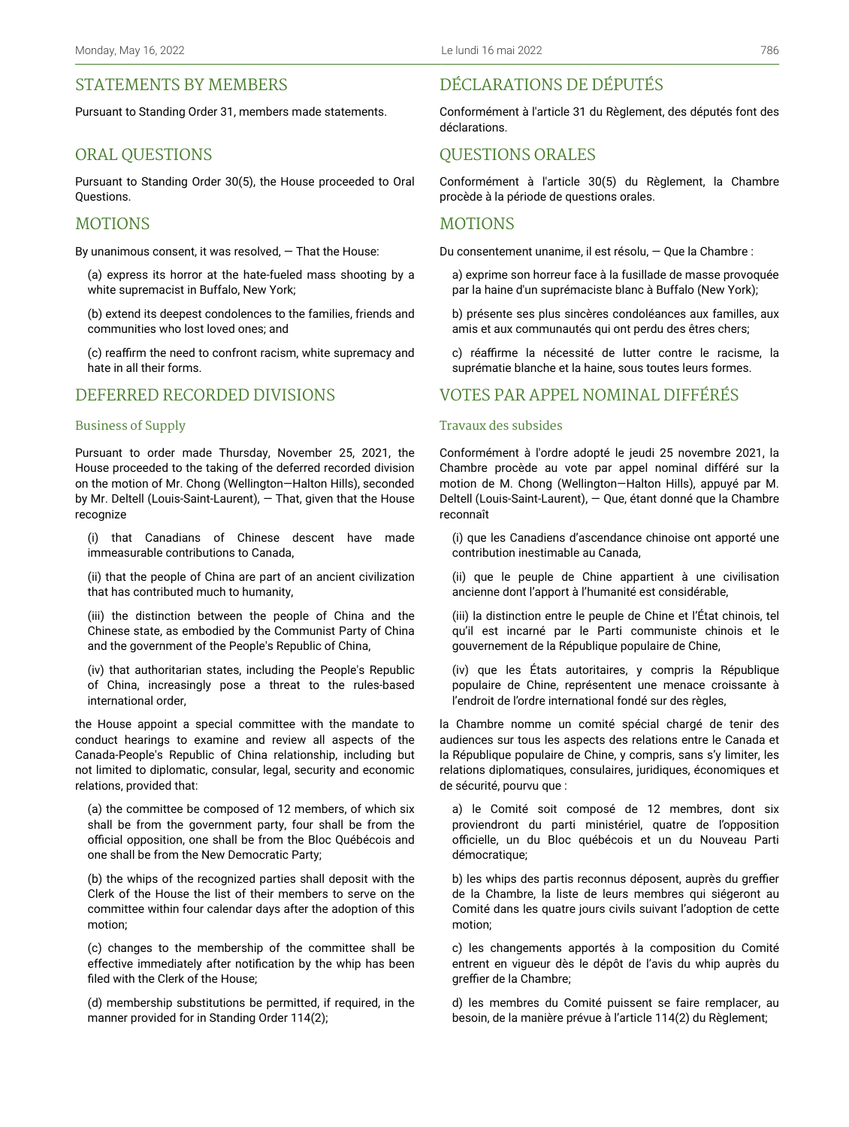# STATEMENTS BY MEMBERS

Pursuant to Standing Order 31, members made statements.

## ORAL QUESTIONS

Pursuant to Standing Order 30(5), the House proceeded to Oral Questions.

### MOTIONS

By unanimous consent, it was resolved, — That the House:

(a) express its horror at the hate-fueled mass shooting by a white supremacist in Buffalo, New York;

(b) extend its deepest condolences to the families, friends and communities who lost loved ones; and

(c) reaffirm the need to confront racism, white supremacy and hate in all their forms.

## DEFERRED RECORDED DIVISIONS

#### Business of Supply

Pursuant to order made Thursday, November 25, 2021, the House proceeded to the taking of the deferred recorded division on the motion of Mr. Chong (Wellington—Halton Hills), seconded by Mr. Deltell (Louis-Saint-Laurent), — That, given that the House recognize

(i) that Canadians of Chinese descent have made immeasurable contributions to Canada,

(ii) that the people of China are part of an ancient civilization that has contributed much to humanity,

(iii) the distinction between the people of China and the Chinese state, as embodied by the Communist Party of China and the government of the People's Republic of China,

(iv) that authoritarian states, including the People's Republic of China, increasingly pose a threat to the rules-based international order,

the House appoint a special committee with the mandate to conduct hearings to examine and review all aspects of the Canada-People's Republic of China relationship, including but not limited to diplomatic, consular, legal, security and economic relations, provided that:

(a) the committee be composed of 12 members, of which six shall be from the government party, four shall be from the official opposition, one shall be from the Bloc Québécois and one shall be from the New Democratic Party;

(b) the whips of the recognized parties shall deposit with the Clerk of the House the list of their members to serve on the committee within four calendar days after the adoption of this motion;

(c) changes to the membership of the committee shall be effective immediately after notification by the whip has been filed with the Clerk of the House;

(d) membership substitutions be permitted, if required, in the manner provided for in Standing Order 114(2);

# DÉCLARATIONS DE DÉPUTÉS

Conformément à l'article 31 du Règlement, des députés font des déclarations.

## QUESTIONS ORALES

Conformément à l'article 30(5) du Règlement, la Chambre procède à la période de questions orales.

### MOTIONS

Du consentement unanime, il est résolu, — Que la Chambre :

a) exprime son horreur face à la fusillade de masse provoquée par la haine d'un suprémaciste blanc à Buffalo (New York);

b) présente ses plus sincères condoléances aux familles, aux amis et aux communautés qui ont perdu des êtres chers;

c) réaffirme la nécessité de lutter contre le racisme, la suprématie blanche et la haine, sous toutes leurs formes.

## VOTES PAR APPEL NOMINAL DIFFÉRÉS

#### Travaux des subsides

Conformément à l'ordre adopté le jeudi 25 novembre 2021, la Chambre procède au vote par appel nominal différé sur la motion de M. Chong (Wellington—Halton Hills), appuyé par M. Deltell (Louis-Saint-Laurent), — Que, étant donné que la Chambre reconnaît

(i) que les Canadiens d'ascendance chinoise ont apporté une contribution inestimable au Canada,

(ii) que le peuple de Chine appartient à une civilisation ancienne dont l'apport à l'humanité est considérable,

(iii) la distinction entre le peuple de Chine et l'État chinois, tel qu'il est incarné par le Parti communiste chinois et le gouvernement de la République populaire de Chine,

(iv) que les États autoritaires, y compris la République populaire de Chine, représentent une menace croissante à l'endroit de l'ordre international fondé sur des règles,

la Chambre nomme un comité spécial chargé de tenir des audiences sur tous les aspects des relations entre le Canada et la République populaire de Chine, y compris, sans s'y limiter, les relations diplomatiques, consulaires, juridiques, économiques et de sécurité, pourvu que :

a) le Comité soit composé de 12 membres, dont six proviendront du parti ministériel, quatre de l'opposition officielle, un du Bloc québécois et un du Nouveau Parti démocratique;

b) les whips des partis reconnus déposent, auprès du greffier de la Chambre, la liste de leurs membres qui siégeront au Comité dans les quatre jours civils suivant l'adoption de cette motion;

c) les changements apportés à la composition du Comité entrent en vigueur dès le dépôt de l'avis du whip auprès du greffier de la Chambre;

d) les membres du Comité puissent se faire remplacer, au besoin, de la manière prévue à l'article 114(2) du Règlement;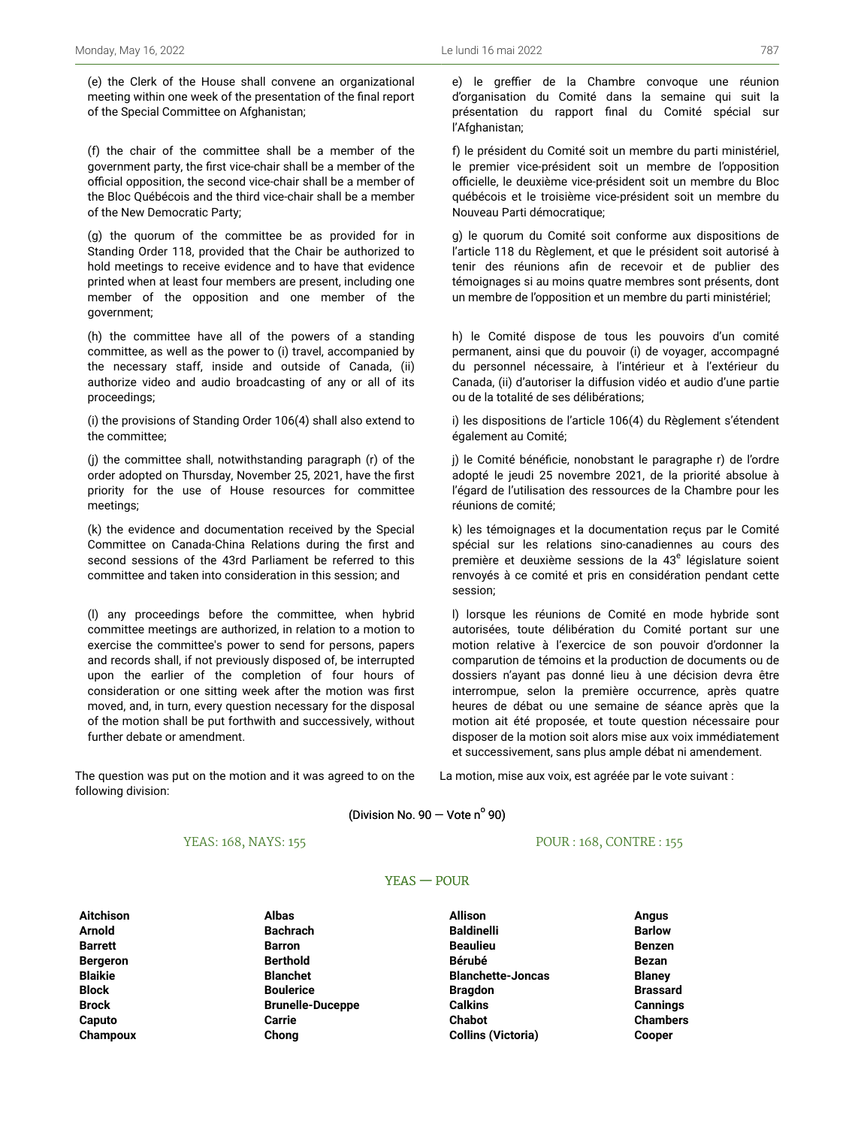(e) the Clerk of the House shall convene an organizational meeting within one week of the presentation of the final report of the Special Committee on Afghanistan;

(f) the chair of the committee shall be a member of the government party, the first vice-chair shall be a member of the official opposition, the second vice-chair shall be a member of the Bloc Québécois and the third vice-chair shall be a member of the New Democratic Party;

(g) the quorum of the committee be as provided for in Standing Order 118, provided that the Chair be authorized to hold meetings to receive evidence and to have that evidence printed when at least four members are present, including one member of the opposition and one member of the government;

(h) the committee have all of the powers of a standing committee, as well as the power to (i) travel, accompanied by the necessary staff, inside and outside of Canada, (ii) authorize video and audio broadcasting of any or all of its proceedings;

(i) the provisions of Standing Order 106(4) shall also extend to the committee;

(j) the committee shall, notwithstanding paragraph (r) of the order adopted on Thursday, November 25, 2021, have the first priority for the use of House resources for committee meetings;

(k) the evidence and documentation received by the Special Committee on Canada-China Relations during the first and second sessions of the 43rd Parliament be referred to this committee and taken into consideration in this session; and

(l) any proceedings before the committee, when hybrid committee meetings are authorized, in relation to a motion to exercise the committee's power to send for persons, papers and records shall, if not previously disposed of, be interrupted upon the earlier of the completion of four hours of consideration or one sitting week after the motion was first moved, and, in turn, every question necessary for the disposal of the motion shall be put forthwith and successively, without further debate or amendment.

The question was put on the motion and it was agreed to on the following division:

e) le greffier de la Chambre convoque une réunion d'organisation du Comité dans la semaine qui suit la présentation du rapport final du Comité spécial sur l'Afghanistan;

f) le président du Comité soit un membre du parti ministériel, le premier vice-président soit un membre de l'opposition officielle, le deuxième vice-président soit un membre du Bloc québécois et le troisième vice-président soit un membre du Nouveau Parti démocratique;

g) le quorum du Comité soit conforme aux dispositions de l'article 118 du Règlement, et que le président soit autorisé à tenir des réunions afin de recevoir et de publier des témoignages si au moins quatre membres sont présents, dont un membre de l'opposition et un membre du parti ministériel;

h) le Comité dispose de tous les pouvoirs d'un comité permanent, ainsi que du pouvoir (i) de voyager, accompagné du personnel nécessaire, à l'intérieur et à l'extérieur du Canada, (ii) d'autoriser la diffusion vidéo et audio d'une partie ou de la totalité de ses délibérations;

i) les dispositions de l'article 106(4) du Règlement s'étendent également au Comité;

j) le Comité bénéficie, nonobstant le paragraphe r) de l'ordre adopté le jeudi 25 novembre 2021, de la priorité absolue à l'égard de l'utilisation des ressources de la Chambre pour les réunions de comité;

k) les témoignages et la documentation reçus par le Comité spécial sur les relations sino-canadiennes au cours des première et deuxième sessions de la 43<sup>e</sup> législature soient renvoyés à ce comité et pris en considération pendant cette session;

l) lorsque les réunions de Comité en mode hybride sont autorisées, toute délibération du Comité portant sur une motion relative à l'exercice de son pouvoir d'ordonner la comparution de témoins et la production de documents ou de dossiers n'ayant pas donné lieu à une décision devra être interrompue, selon la première occurrence, après quatre heures de débat ou une semaine de séance après que la motion ait été proposée, et toute question nécessaire pour disposer de la motion soit alors mise aux voix immédiatement et successivement, sans plus ample débat ni amendement.

La motion, mise aux voix, est agréée par le vote suivant :

(Division No.  $90 -$  Vote n $^{\circ}$  90)

### YEAS: 168, NAYS: 155

#### POUR : 168, CONTRE : 155

### YEAS — POUR

**Aitchison Albas Allison Angus Champoux Chong Collins (Victoria) Cooper**

**Arnold Bachrach Baldinelli Barlow Barrett Barron Beaulieu Benzen Bergeron Berthold Bérubé Bezan Blaikie Blanchet Blanchette-Joncas Blaney Block Boulerice Bragdon Brassard Brock Brunelle-Duceppe Calkins Cannings Caputo Carrie Chabot Chambers**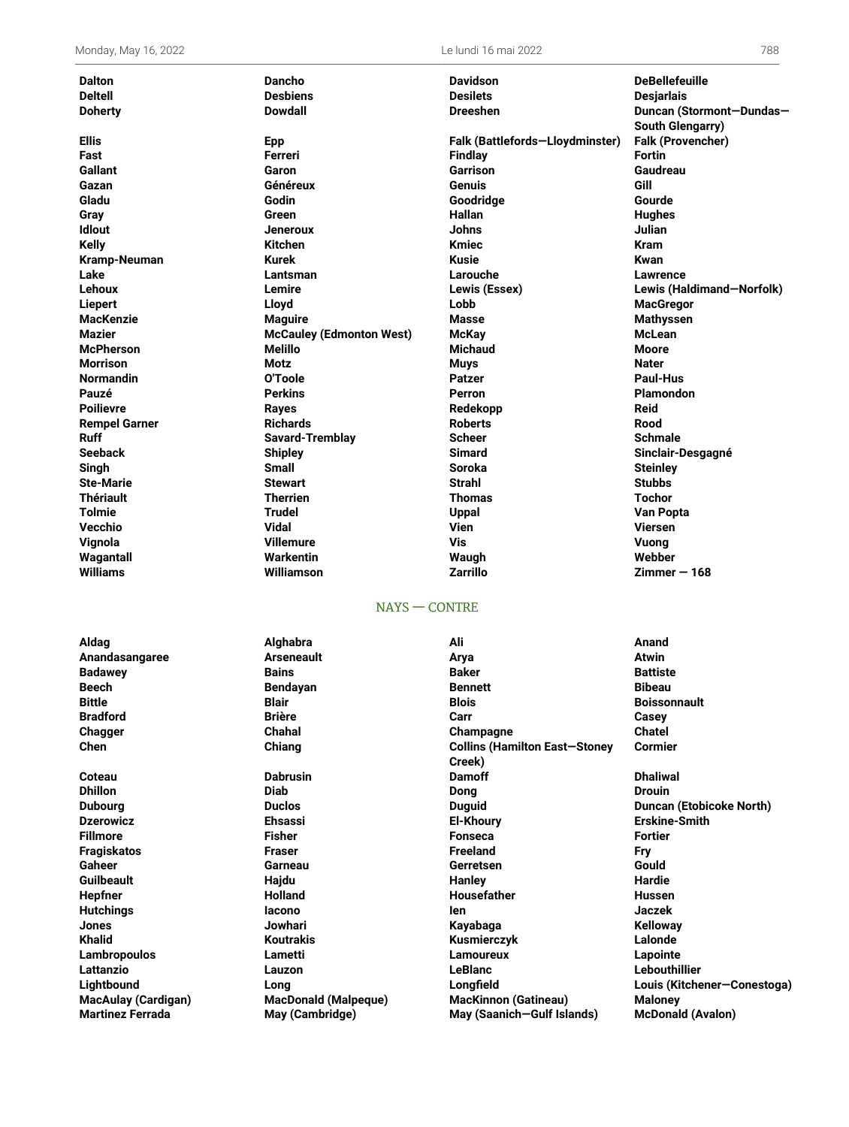| <b>Dalton</b>        | <b>Dancho</b>                   | <b>Davidson</b>                 | <b>DeBellefeuille</b>     |
|----------------------|---------------------------------|---------------------------------|---------------------------|
| <b>Deltell</b>       | <b>Desbiens</b>                 | <b>Desilets</b>                 | <b>Desjarlais</b>         |
| <b>Doherty</b>       | <b>Dowdall</b>                  | <b>Dreeshen</b>                 | Duncan (Stormont-Dundas-  |
|                      |                                 |                                 | South Glengarry)          |
| <b>Ellis</b>         | <b>Epp</b>                      | Falk (Battlefords-Lloydminster) | <b>Falk (Provencher)</b>  |
| Fast                 | Ferreri                         | Findlay                         | <b>Fortin</b>             |
| <b>Gallant</b>       | Garon                           | Garrison                        | Gaudreau                  |
| Gazan                | Généreux                        | Genuis                          | Gill                      |
| Gladu                | Godin                           | Goodridge                       | Gourde                    |
| Gray                 | Green                           | <b>Hallan</b>                   | <b>Hughes</b>             |
| <b>Idlout</b>        | <b>Jeneroux</b>                 | <b>Johns</b>                    | Julian                    |
| <b>Kelly</b>         | <b>Kitchen</b>                  | <b>Kmiec</b>                    | <b>Kram</b>               |
| Kramp-Neuman         | <b>Kurek</b>                    | <b>Kusie</b>                    | Kwan                      |
| Lake                 | Lantsman                        | Larouche                        | <b>Lawrence</b>           |
| Lehoux               | Lemire                          | Lewis (Essex)                   | Lewis (Haldimand-Norfolk) |
| <b>Liepert</b>       | Lloyd                           | Lobb                            | <b>MacGregor</b>          |
| <b>MacKenzie</b>     | <b>Maguire</b>                  | <b>Masse</b>                    | <b>Mathyssen</b>          |
| <b>Mazier</b>        | <b>McCauley (Edmonton West)</b> | <b>McKay</b>                    | <b>McLean</b>             |
| <b>McPherson</b>     | Melillo                         | <b>Michaud</b>                  | Moore                     |
| <b>Morrison</b>      | <b>Motz</b>                     | <b>Muys</b>                     | <b>Nater</b>              |
| <b>Normandin</b>     | O'Toole                         | <b>Patzer</b>                   | Paul-Hus                  |
| Pauzé                | <b>Perkins</b>                  | Perron                          | <b>Plamondon</b>          |
| <b>Poilievre</b>     | <b>Rayes</b>                    | Redekopp                        | <b>Reid</b>               |
| <b>Rempel Garner</b> | <b>Richards</b>                 | <b>Roberts</b>                  | Rood                      |
| <b>Ruff</b>          | <b>Savard-Tremblay</b>          | <b>Scheer</b>                   | <b>Schmale</b>            |
| <b>Seeback</b>       | <b>Shipley</b>                  | <b>Simard</b>                   | Sinclair-Desgagné         |
| Singh                | <b>Small</b>                    | <b>Soroka</b>                   | <b>Steinley</b>           |
| <b>Ste-Marie</b>     | <b>Stewart</b>                  | <b>Strahl</b>                   | <b>Stubbs</b>             |
| <b>Thériault</b>     | <b>Therrien</b>                 | <b>Thomas</b>                   | <b>Tochor</b>             |
| <b>Tolmie</b>        | Trudel                          | Uppal                           | <b>Van Popta</b>          |
| Vecchio              | <b>Vidal</b>                    | <b>Vien</b>                     | <b>Viersen</b>            |
| Vignola              | <b>Villemure</b>                | Vis                             | Vuona                     |
| Wagantall            | <b>Warkentin</b>                | Waugh                           | Webber                    |
| <b>Williams</b>      | Williamson                      | <b>Zarrillo</b>                 | $Zimmer - 168$            |
|                      | $NAYS - CONTRE$                 |                                 |                           |
| Aldag                | Alghabra                        | Ali                             | Anand                     |
| Anandasangaree       | <b>Arseneault</b>               | Arya                            | <b>Atwin</b>              |
| <b>Badawey</b>       | <b>Bains</b>                    | <b>Baker</b>                    | <b>Battiste</b>           |

**Beech Bendayan Bennett Bibeau Bittle Blair Blois Boissonnault Bradford Brière Carr Casey Chagger Chahal Champagne Chatel Chen Chiang Collins (Hamilton East—Stoney Creek) Coteau Dabrusin Damoff Dhaliwal Dhillon Diab Dong Drouin Dubourg Duclos Duguid Duncan (Etobicoke North) Dzerowicz Ehsassi El-Khoury Erskine-Smith Fillmore Fisher Fonseca Fortier Fragiskatos Fraser Freeland Fry Gaheer Garneau Gerretsen Gould Guilbeault Hajdu Hanley Hardie Hepfner Holland Housefather Hussen Hutchings Iacono Ien Jaczek Jones Jowhari Kayabaga Kelloway Khalid Koutrakis Kusmierczyk Lalonde Lambropoulos Lametti Lamoureux Lapointe Lattanzio Lauzon LeBlanc Lebouthillier Lightbound Long Longfield Louis (Kitchener—Conestoga) MacAulay (Cardigan) MacDonald (Malpeque) MacKinnon (Gatineau) Maloney Martinez Ferrada May (Cambridge) May (Saanich—Gulf Islands) McDonald (Avalon)**

**Cormier**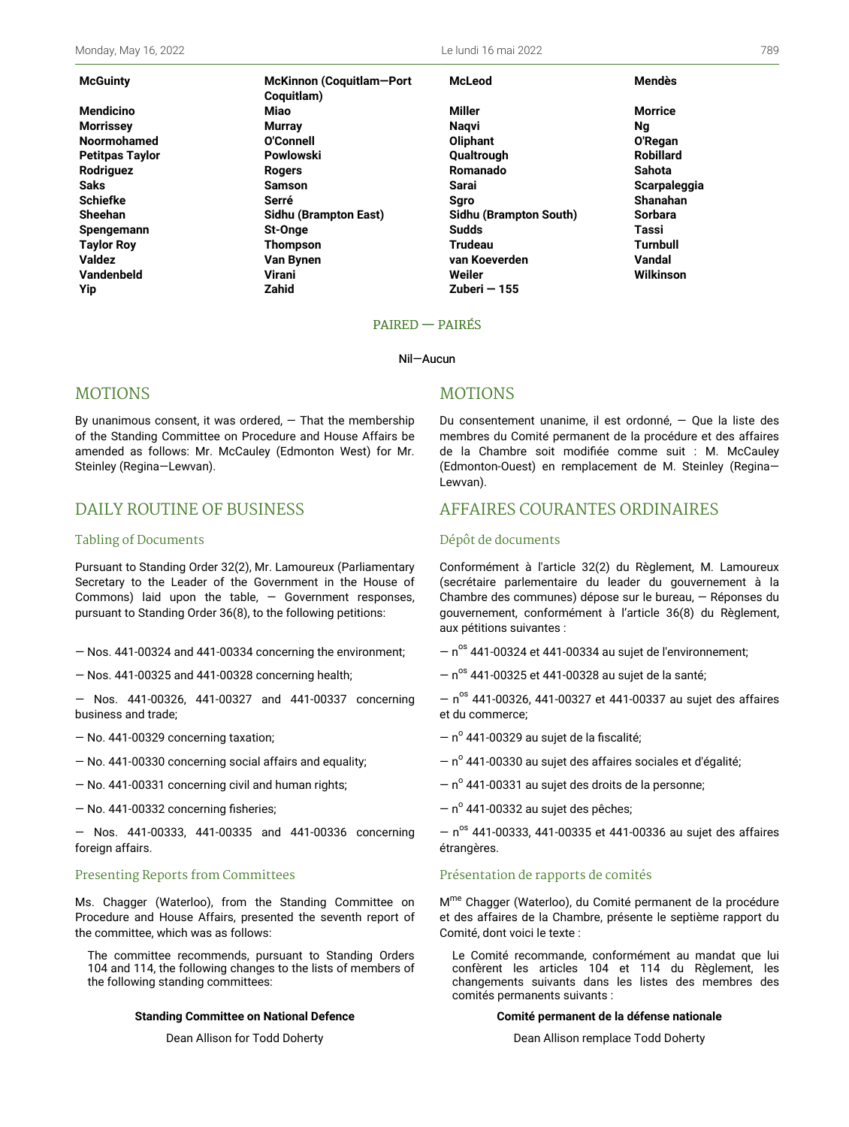**McGuinty McKinnon (Coquitlam—Port Coquitlam) Yip Zahid Zuberi — 155**

**McLeod Mendès**

**Mendicino Miao Miller Morrice Morrissey Murray Naqvi Ng Noormohamed O'Connell Oliphant O'Regan Petitpas Taylor Powlowski Qualtrough Robillard Rodriguez Rogers Romanado Sahota Saks Samson Sarai Scarpaleggia Schiefke Serré Sgro Shanahan Sheehan Sidhu (Brampton East) Sidhu (Brampton South) Sorbara Spengemann St-Onge Sudds Tassi Taylor Roy Thompson Trudeau Turnbull Valdez Van Bynen van Koeverden Vandal Vandenbeld Virani Weiler Wilkinson**

### PAIRED — PAIRÉS

#### Nil—Aucun

## MOTIONS

By unanimous consent, it was ordered,  $-$  That the membership of the Standing Committee on Procedure and House Affairs be amended as follows: Mr. McCauley (Edmonton West) for Mr. Steinley (Regina—Lewvan).

# DAILY ROUTINE OF BUSINESS

#### Tabling of Documents

Pursuant to Standing Order 32(2), Mr. Lamoureux (Parliamentary Secretary to the Leader of the Government in the House of Commons) laid upon the table,  $-$  Government responses, pursuant to Standing Order 36(8), to the following petitions:

- Nos. 441-00324 and 441-00334 concerning the environment;
- Nos. 441-00325 and 441-00328 concerning health;

— Nos. 441-00326, 441-00327 and 441-00337 concerning business and trade;

- No. 441-00329 concerning taxation;
- No. 441-00330 concerning social affairs and equality;
- No. 441-00331 concerning civil and human rights;
- No. 441-00332 concerning fisheries;

— Nos. 441-00333, 441-00335 and 441-00336 concerning foreign affairs.

#### Presenting Reports from Committees

Ms. Chagger (Waterloo), from the Standing Committee on Procedure and House Affairs, presented the seventh report of the committee, which was as follows:

The committee recommends, pursuant to Standing Orders 104 and 114, the following changes to the lists of members of the following standing committees:

#### **Standing Committee on National Defence**

Dean Allison for Todd Doherty

### MOTIONS

Du consentement unanime, il est ordonné, — Que la liste des membres du Comité permanent de la procédure et des affaires de la Chambre soit modifiée comme suit : M. McCauley (Edmonton-Ouest) en remplacement de M. Steinley (Regina— Lewvan).

## AFFAIRES COURANTES ORDINAIRES

#### Dépôt de documents

Conformément à l'article 32(2) du Règlement, M. Lamoureux (secrétaire parlementaire du leader du gouvernement à la Chambre des communes) dépose sur le bureau, — Réponses du gouvernement, conformément à l'article 36(8) du Règlement, aux pétitions suivantes :

 $-$  n<sup>os</sup> 441-00324 et 441-00334 au sujet de l'environnement;

 $-$  n<sup>os</sup> 441-00325 et 441-00328 au sujet de la santé;

 $-$  n<sup>os</sup> 441-00326, 441-00327 et 441-00337 au sujet des affaires et du commerce;

- nº 441-00329 au sujet de la fiscalité;
- $-$  n $^{\circ}$  441-00330 au sujet des affaires sociales et d'égalité;
- nº 441-00331 au sujet des droits de la personne;
- $-$  n $^{\circ}$  441-00332 au sujet des pêches;

 $-$  n<sup>os</sup> 441-00333, 441-00335 et 441-00336 au sujet des affaires étrangères.

### Présentation de rapports de comités

M<sup>me</sup> Chagger (Waterloo), du Comité permanent de la procédure et des affaires de la Chambre, présente le septième rapport du Comité, dont voici le texte :

Le Comité recommande, conformément au mandat que lui confèrent les articles 104 et 114 du Règlement, les changements suivants dans les listes des membres des comités permanents suivants :

#### **Comité permanent de la défense nationale**

Dean Allison remplace Todd Doherty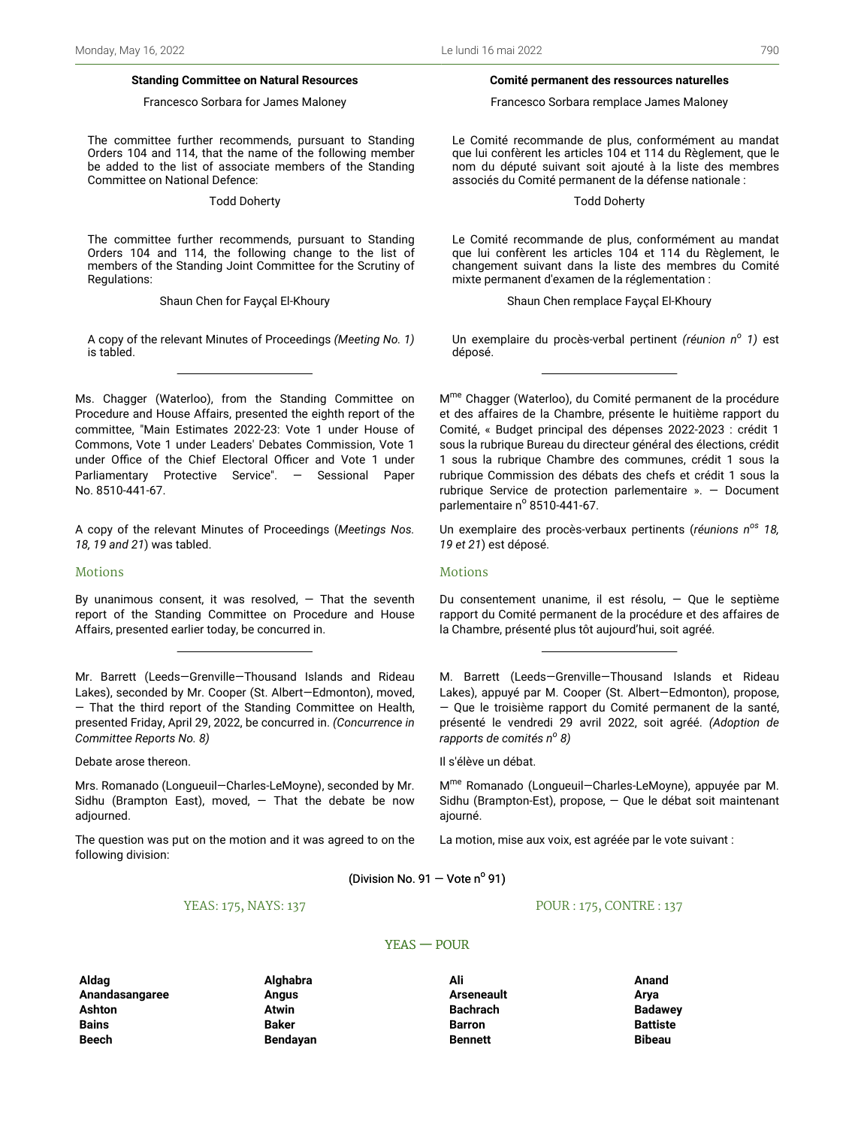#### **Standing Committee on Natural Resources**

#### Francesco Sorbara for James Maloney

The committee further recommends, pursuant to Standing Orders 104 and 114, that the name of the following member be added to the list of associate members of the Standing Committee on National Defence:

Todd Doherty

The committee further recommends, pursuant to Standing Orders 104 and 114, the following change to the list of members of the Standing Joint Committee for the Scrutiny of Regulations:

Shaun Chen for Fayçal El-Khoury

A copy of the relevant Minutes of Proceedings *(Meeting No. 1)* is tabled.

Ms. Chagger (Waterloo), from the Standing Committee on Procedure and House Affairs, presented the eighth report of the committee, "Main Estimates 2022-23: Vote 1 under House of Commons, Vote 1 under Leaders' Debates Commission, Vote 1 under Office of the Chief Electoral Officer and Vote 1 under Parliamentary Protective Service". — Sessional Paper No. 8510-441-67.

A copy of the relevant Minutes of Proceedings (*Meetings Nos. 18, 19 and 21*) was tabled.

#### Motions

By unanimous consent, it was resolved,  $-$  That the seventh report of the Standing Committee on Procedure and House Affairs, presented earlier today, be concurred in.

Mr. Barrett (Leeds—Grenville—Thousand Islands and Rideau Lakes), seconded by Mr. Cooper (St. Albert—Edmonton), moved, — That the third report of the Standing Committee on Health, presented Friday, April 29, 2022, be concurred in. *(Concurrence in Committee Reports No. 8)*

Debate arose thereon.

Mrs. Romanado (Longueuil—Charles-LeMoyne), seconded by Mr. Sidhu (Brampton East), moved,  $-$  That the debate be now adjourned.

The question was put on the motion and it was agreed to on the following division:

YEAS: 175, NAYS: 137

#### POUR : 175, CONTRE : 137

**Aldag Alghabra Ali Anand Anandasangaree Angus Arseneault Arya Ashton Atwin Bachrach Badawey Bains Baker Barron Battiste Beech Bendayan Bennett Bibeau**

(Division No. 91  $-$  Vote n<sup>o</sup> 91)

YEAS — POUR

#### **Comité permanent des ressources naturelles**

Francesco Sorbara remplace James Maloney

Le Comité recommande de plus, conformément au mandat que lui confèrent les articles 104 et 114 du Règlement, que le nom du député suivant soit ajouté à la liste des membres associés du Comité permanent de la défense nationale :

Todd Doherty

Le Comité recommande de plus, conformément au mandat que lui confèrent les articles 104 et 114 du Règlement, le changement suivant dans la liste des membres du Comité mixte permanent d'examen de la réglementation :

Shaun Chen remplace Fayçal El-Khoury

Un exemplaire du procès-verbal pertinent *(réunion n<sup>o</sup> 1)* est déposé.

M<sup>me</sup> Chagger (Waterloo), du Comité permanent de la procédure et des affaires de la Chambre, présente le huitième rapport du Comité, « Budget principal des dépenses 2022-2023 : crédit 1 sous la rubrique Bureau du directeur général des élections, crédit 1 sous la rubrique Chambre des communes, crédit 1 sous la rubrique Commission des débats des chefs et crédit 1 sous la rubrique Service de protection parlementaire ». — Document parlementaire nº 8510-441-67.

Un exemplaire des procès-verbaux pertinents (*réunions nos 18, 19 et 21*) est déposé.

#### Motions

Du consentement unanime, il est résolu, — Que le septième rapport du Comité permanent de la procédure et des affaires de la Chambre, présenté plus tôt aujourd'hui, soit agréé.

M. Barrett (Leeds—Grenville—Thousand Islands et Rideau Lakes), appuyé par M. Cooper (St. Albert—Edmonton), propose, — Que le troisième rapport du Comité permanent de la santé, présenté le vendredi 29 avril 2022, soit agréé. *(Adoption de rapports de comités n<sup>o</sup> 8)*

Il s'élève un débat.

M<sup>me</sup> Romanado (Longueuil-Charles-LeMoyne), appuyée par M. Sidhu (Brampton-Est), propose, — Que le débat soit maintenant ajourné.

La motion, mise aux voix, est agréée par le vote suivant :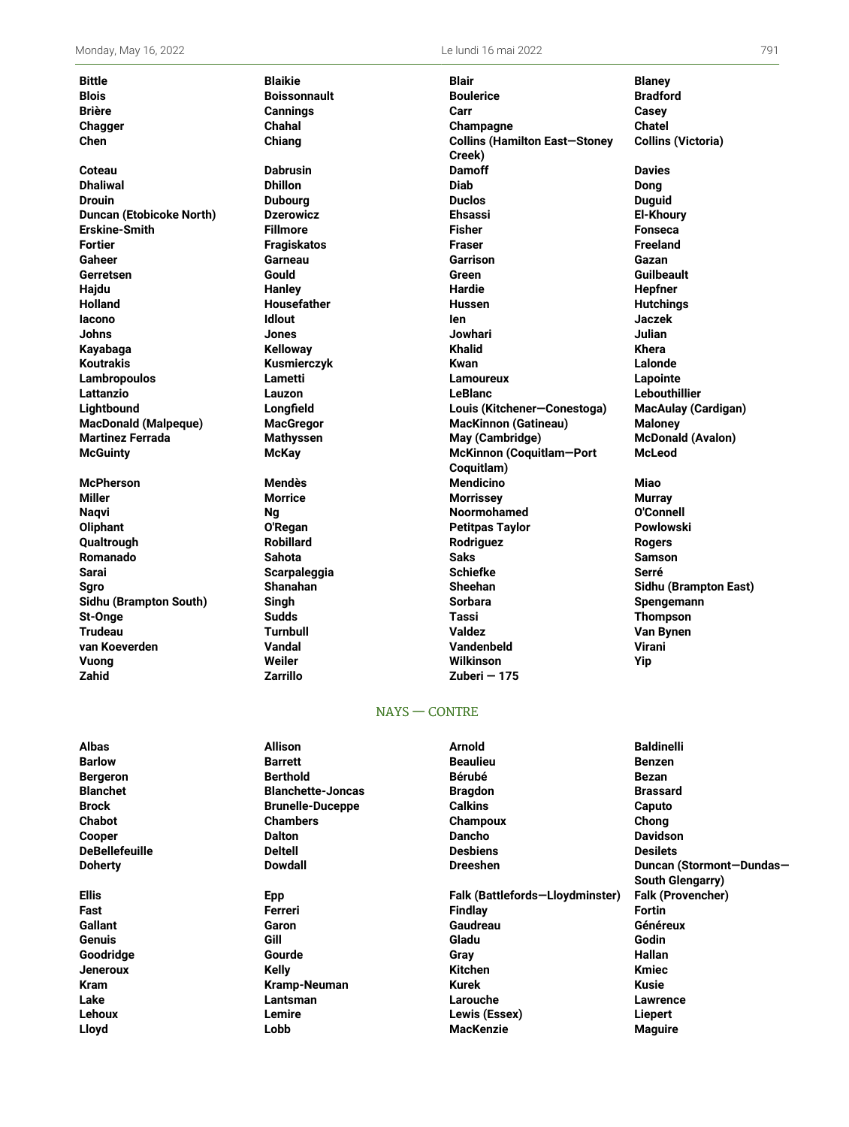**Chen Chiang Collins (Hamilton East—Stoney McGuinty McKay McKinnon (Coquitlam—Port**

**Zahid Zarrillo Zuberi — 175**

**Bittle Blaikie Blair Blaney Blois Boissonnault Boulerice Bradford Brière Cannings Carr Casey Chagger Chahal Champagne Chatel Creek) Collins (Victoria) Coteau Dabrusin Damoff Davies Dhaliwal Dhillon Diab Dong Drouin Dubourg Duclos Duguid Duncan (Etobicoke North) Dzerowicz Ehsassi El-Khoury Erskine-Smith Fillmore Fisher Fonseca Fortier Fragiskatos Fraser Freeland Gaheer Garneau Garrison Gazan Gerretsen Gould Green Guilbeault Hajdu Hanley Hardie Hepfner Holland Housefather Hussen Hutchings Iacono Idlout Ien Jaczek Johns Jones Jowhari Julian Kayabaga Kelloway Khalid Khera Koutrakis Kusmierczyk Kwan Lalonde Lambropoulos Lametti Lamoureux Lapointe Lattanzio Lauzon LeBlanc Lebouthillier Lightbound Longfield Louis (Kitchener—Conestoga) MacAulay (Cardigan) MacDonald (Malpeque) MacGregor MacKinnon (Gatineau) Maloney Martinez Ferrada Mathyssen May (Cambridge) McDonald (Avalon) Coquitlam) McLeod McPherson Mendès Mendicino Miao Miller Morrice Morrissey Murray Naqvi Ng Noormohamed O'Connell Oliphant O'Regan Petitpas Taylor Powlowski Qualtrough Robillard Rodriguez Rogers Romanado Sahota Saks Samson Sarai Scarpaleggia Schiefke Serré Sgro Shanahan Sheehan Sidhu (Brampton East) Sidhu (Brampton South) Singh Sorbara Spengemann St-Onge Sudds Tassi Thompson Trudeau Turnbull Valdez Van Bynen van Koeverden Vandal Vandenbeld Virani Vuong Weiler Wilkinson Yip**

## NAYS — CONTRE

**Albas Allison Arnold Baldinelli Barlow Barrett Beaulieu Benzen Bergeron Berthold Bérubé Bezan Blanchet Blanchette-Joncas Bragdon Brassard Brock Brunelle-Duceppe Calkins Caputo Chabot Chambers Champoux Chong Cooper Dalton Dancho Davidson DeBellefeuille Deltell Desbiens Desilets Doherty Dowdall Dreeshen Duncan (Stormont—Dundas— South Glengarry) Ellis Epp Falk (Battlefords—Lloydminster) Falk (Provencher) Fast Ferreri Findlay Fortin Gallant Garon Gaudreau Généreux Genuis Gill Gladu Godin Goodridge Gourde Gray Hallan Jeneroux Kelly Kitchen Kmiec Kram Kramp-Neuman Kurek Kusie Lake Lantsman Larouche Lawrence Lehoux Lemire Lewis (Essex) Liepert Lloyd Lobb MacKenzie Maguire**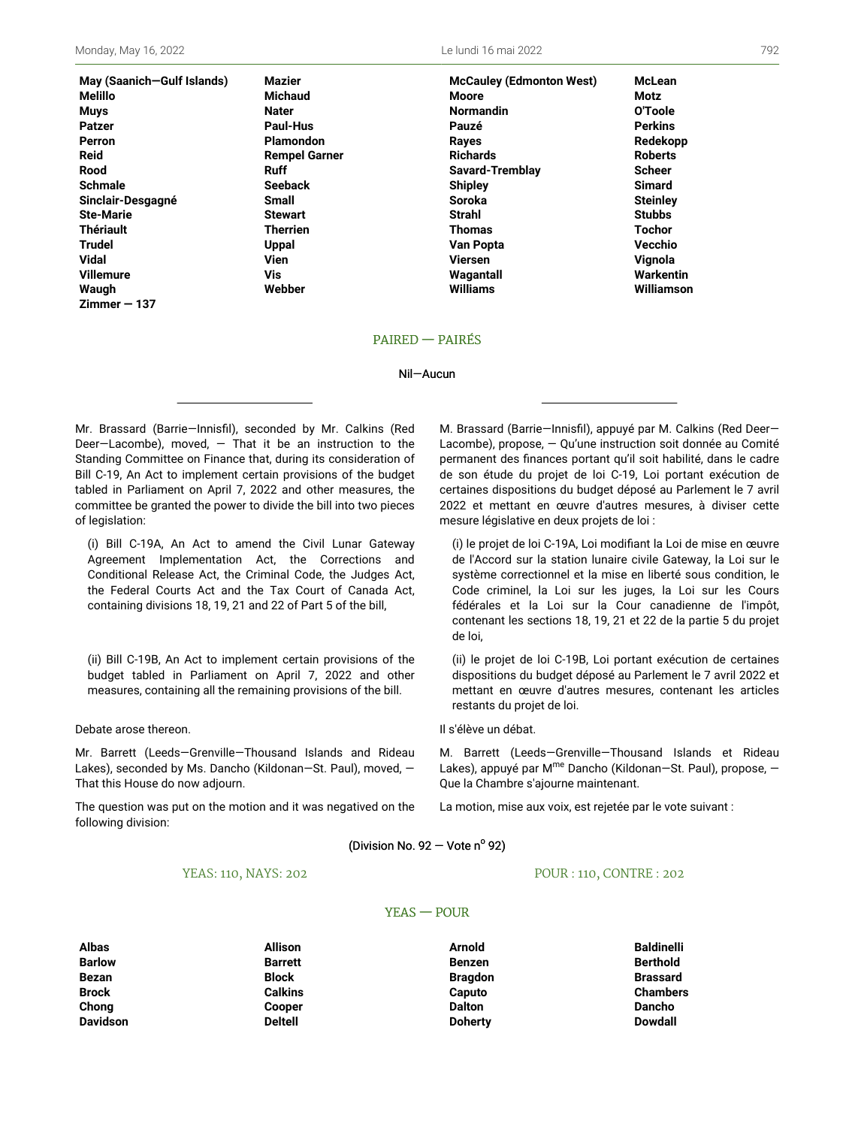| May (Saanich-Gulf Islan |
|-------------------------|
| Melillo                 |
| Muys                    |
| Patzer                  |
| Perron                  |
| Reid                    |
| Rood                    |
| Schmale                 |
| Sinclair-Desgagné       |
| <b>Ste-Marie</b>        |
| <b>Thériault</b>        |
| Trudel                  |
| Vidal                   |
| <b>Villemure</b>        |
| Waugh                   |
| $Zimmer - 137$          |

**May (Saanich—Gulf Islands) Mazier McCauley (Edmonton West) McLean Melillo Michaud Moore Motz Muys Nater Normandin O'Toole Patzer Paul-Hus Pauzé Perkins Perron Plamondon Rayes Redekopp Reid Rempel Garner Richards Roberts Rood Ruff Savard-Tremblay Scheer Schmale Seeback Shipley Simard Sinclair-Desgagné Small Soroka Steinley Ste-Marie Stewart Strahl Stubbs Thériault Therrien Thomas Tochor Trudel Uppal Van Popta Vecchio Vidal Vien Viersen Vignola Villemure Vis Wagantall Warkentin Waugh Webber Williams Williamson**

### PAIRED — PAIRÉS

#### Nil—Aucun

Mr. Brassard (Barrie—Innisfil), seconded by Mr. Calkins (Red Deer-Lacombe), moved,  $-$  That it be an instruction to the Standing Committee on Finance that, during its consideration of Bill C-19, An Act to implement certain provisions of the budget tabled in Parliament on April 7, 2022 and other measures, the committee be granted the power to divide the bill into two pieces of legislation:

(i) Bill C-19A, An Act to amend the Civil Lunar Gateway Agreement Implementation Act, the Corrections and Conditional Release Act, the Criminal Code, the Judges Act, the Federal Courts Act and the Tax Court of Canada Act, containing divisions 18, 19, 21 and 22 of Part 5 of the bill,

(ii) Bill C-19B, An Act to implement certain provisions of the budget tabled in Parliament on April 7, 2022 and other measures, containing all the remaining provisions of the bill.

Debate arose thereon.

Mr. Barrett (Leeds—Grenville—Thousand Islands and Rideau Lakes), seconded by Ms. Dancho (Kildonan—St. Paul), moved, — That this House do now adjourn.

The question was put on the motion and it was negatived on the following division:

M. Brassard (Barrie—Innisfil), appuyé par M. Calkins (Red Deer— Lacombe), propose, — Qu'une instruction soit donnée au Comité permanent des finances portant qu'il soit habilité, dans le cadre de son étude du projet de loi C-19, Loi portant exécution de certaines dispositions du budget déposé au Parlement le 7 avril 2022 et mettant en œuvre d'autres mesures, à diviser cette mesure législative en deux projets de loi :

(i) le projet de loi C-19A, Loi modifiant la Loi de mise en œuvre de l'Accord sur la station lunaire civile Gateway, la Loi sur le système correctionnel et la mise en liberté sous condition, le Code criminel, la Loi sur les juges, la Loi sur les Cours fédérales et la Loi sur la Cour canadienne de l'impôt, contenant les sections 18, 19, 21 et 22 de la partie 5 du projet de loi,

(ii) le projet de loi C-19B, Loi portant exécution de certaines dispositions du budget déposé au Parlement le 7 avril 2022 et mettant en œuvre d'autres mesures, contenant les articles restants du projet de loi.

Il s'élève un débat.

M. Barrett (Leeds—Grenville—Thousand Islands et Rideau Lakes), appuyé par M<sup>me</sup> Dancho (Kildonan–St. Paul), propose, – Que la Chambre s'ajourne maintenant.

La motion, mise aux voix, est rejetée par le vote suivant :

(Division No. 92 – Vote n $^{\circ}$  92)

YEAS — POUR

#### YEAS: 110, NAYS: 202

#### POUR : 110, CONTRE : 202

**Davidson Deltell Doherty Dowdall**

**Albas Allison Arnold Baldinelli Barlow Barrett Benzen Berthold Bezan Block Bragdon Brassard Chong Cooper Dalton Dancho**

**Brock Calkins Caputo Chambers**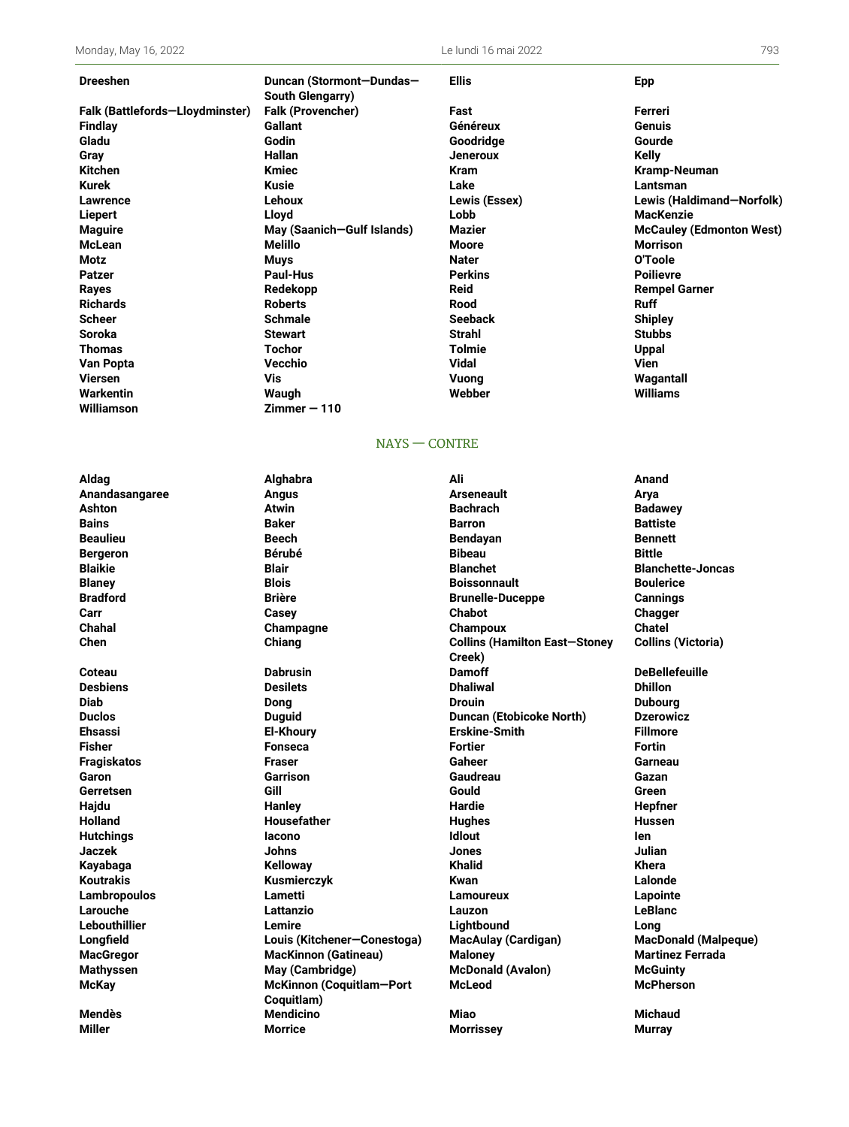Monday, May 16, 2022 Le lundi 16 mai 2022 793

| Dreeshen                        | Duncan (Stormont-Dundas-   | <b>Ellis</b>   | <b>Epp</b>                      |
|---------------------------------|----------------------------|----------------|---------------------------------|
|                                 | <b>South Glengarry)</b>    |                |                                 |
| Falk (Battlefords-Lloydminster) | <b>Falk (Provencher)</b>   | Fast           | Ferreri                         |
| Findlay                         | <b>Gallant</b>             | Généreux       | <b>Genuis</b>                   |
| Gladu                           | Godin                      | Goodridge      | Gourde                          |
| Gray                            | <b>Hallan</b>              | Jeneroux       | <b>Kelly</b>                    |
| Kitchen                         | <b>Kmiec</b>               | <b>Kram</b>    | Kramp-Neuman                    |
| Kurek                           | Kusie                      | Lake           | Lantsman                        |
| Lawrence                        | Lehoux                     | Lewis (Essex)  | Lewis (Haldimand-Norfolk)       |
| Liepert                         | Lloyd                      | Lobb           | <b>MacKenzie</b>                |
| <b>Maguire</b>                  | May (Saanich-Gulf Islands) | Mazier         | <b>McCauley (Edmonton West)</b> |
| McLean                          | <b>Melillo</b>             | Moore          | <b>Morrison</b>                 |
| Motz                            | Muys                       | <b>Nater</b>   | O'Toole                         |
| Patzer                          | <b>Paul-Hus</b>            | <b>Perkins</b> | <b>Poilievre</b>                |
| Rayes                           | Redekopp                   | <b>Reid</b>    | <b>Rempel Garner</b>            |
| Richards                        | <b>Roberts</b>             | <b>Rood</b>    | <b>Ruff</b>                     |
| Scheer                          | <b>Schmale</b>             | <b>Seeback</b> | <b>Shipley</b>                  |
| Soroka                          | <b>Stewart</b>             | <b>Strahl</b>  | <b>Stubbs</b>                   |
| Thomas                          | Tochor                     | Tolmie         | <b>Uppal</b>                    |
| Van Popta                       | Vecchio                    | Vidal          | Vien                            |
| Viersen                         | Vis                        | Vuong          | Wagantall                       |
| Warkentin                       | Waugh                      | Webber         | Williams                        |
| Williamson                      | $Zimmer - 110$             |                |                                 |

## NAYS — CONTRE

| <b>Ashton</b>        | <b>Atwin</b>                           | <b>Bachrach</b>                                | <b>Badawey</b>  |
|----------------------|----------------------------------------|------------------------------------------------|-----------------|
| <b>Bains</b>         | <b>Baker</b>                           | <b>Barron</b>                                  | <b>Battiste</b> |
| <b>Beaulieu</b>      | <b>Beech</b>                           | <b>Bendayan</b>                                | <b>Bennett</b>  |
| <b>Bergeron</b>      | <b>Bérubé</b>                          | <b>Bibeau</b>                                  | <b>Bittle</b>   |
| <b>Blaikie</b>       | <b>Blair</b>                           | <b>Blanchet</b>                                | <b>Blanchet</b> |
| <b>Blaney</b>        | <b>Blois</b>                           | <b>Boissonnault</b>                            | <b>Bouleric</b> |
| <b>Bradford</b>      | <b>Brière</b>                          | <b>Brunelle-Duceppe</b>                        | <b>Cannings</b> |
| Carr                 | Casey                                  | <b>Chabot</b>                                  | Chagger         |
| Chahal               | Champagne                              | Champoux                                       | <b>Chatel</b>   |
| Chen                 | Chiang                                 | <b>Collins (Hamilton East-Stoney</b><br>Creek) | Collins (       |
| Coteau               | <b>Dabrusin</b>                        | <b>Damoff</b>                                  | <b>DeBellef</b> |
| <b>Desbiens</b>      | <b>Desilets</b>                        | <b>Dhaliwal</b>                                | <b>Dhillon</b>  |
| <b>Diab</b>          | Dong                                   | <b>Drouin</b>                                  | <b>Dubourg</b>  |
| <b>Duclos</b>        | <b>Duguid</b>                          | <b>Duncan (Etobicoke North)</b>                | <b>Dzerowio</b> |
| <b>Ehsassi</b>       | <b>El-Khoury</b>                       | <b>Erskine-Smith</b>                           | <b>Fillmore</b> |
| <b>Fisher</b>        | <b>Fonseca</b>                         | <b>Fortier</b>                                 | <b>Fortin</b>   |
| <b>Fragiskatos</b>   | <b>Fraser</b>                          | Gaheer                                         | Garneau         |
| Garon                | <b>Garrison</b>                        | Gaudreau                                       | Gazan           |
| Gerretsen            | Gill                                   | Gould                                          | Green           |
| Hajdu                | Hanley                                 | Hardie                                         | Hepfner         |
| <b>Holland</b>       | <b>Housefather</b>                     | <b>Hughes</b>                                  | <b>Hussen</b>   |
| <b>Hutchings</b>     | lacono                                 | <b>Idlout</b>                                  | len             |
| <b>Jaczek</b>        | <b>Johns</b>                           | Jones                                          | Julian          |
| Kayabaga             | <b>Kelloway</b>                        | <b>Khalid</b>                                  | Khera           |
| <b>Koutrakis</b>     | Kusmierczyk                            | Kwan                                           | Lalonde         |
| Lambropoulos         | Lametti                                | Lamoureux                                      | Lapointe        |
| Larouche             | Lattanzio                              | Lauzon                                         | <b>LeBlanc</b>  |
| <b>Lebouthillier</b> | Lemire                                 | Lightbound                                     | Long            |
| Longfield            | Louis (Kitchener-Conestoga)            | <b>MacAulay (Cardigan)</b>                     | <b>MacDona</b>  |
| <b>MacGregor</b>     | <b>MacKinnon (Gatineau)</b>            | <b>Maloney</b>                                 | <b>Martinez</b> |
| <b>Mathyssen</b>     | May (Cambridge)                        | <b>McDonald (Avalon)</b>                       | <b>McGuint</b>  |
| <b>McKay</b>         | McKinnon (Coquitlam-Port<br>Coquitlam) | <b>McLeod</b>                                  | <b>McPhers</b>  |
| <b>Mendès</b>        | <b>Mendicino</b>                       | <b>Miao</b>                                    | <b>Michaud</b>  |
| <b>Miller</b>        | <b>Morrice</b>                         | <b>Morrissey</b>                               | <b>Murray</b>   |

**Aldag Alghabra Ali Anand Anandasangaree Angus Arseneault Arya Ashton Atwin Bachrach Badawey Bains Baker Barron Battiste Beaulieu Beech Bendayan Bennett Bergeron Bérubé Bibeau Bittle Blaikie Blair Blanchet Blanchette-Joncas Blaney Blois Boissonnault Boulerice Bradford Brière Brunelle-Duceppe Cannings Carr Casey Chabot Chagger Chahal Champagne Champoux Chatel Chen Chiang Collins (Hamilton East—Stoney Creek) Coteau Dabrusin Damoff DeBellefeuille Desbiens Desilets Dhaliwal Dhillon Diab Dong Drouin Dubourg Duclos Duguid Duncan (Etobicoke North) Dzerowicz Ehsassi El-Khoury Erskine-Smith Fillmore Fisher Fonseca Fortier Fortin Fragiskatos Fraser Gaheer Garneau Garon Garrison Gaudreau Gazan Gerretsen Gill Gould Green Hajdu Hanley Hardie Hepfner Holland Housefather Hughes Hussen Hutchings Iacono Idlout Ien Jaczek Johns Jones Julian Kayabaga Kelloway Khalid Khera Koutrakis Kusmierczyk Kwan Lalonde Lambropoulos Lametti Lamoureux Lapointe Larouche Lattanzio Lauzon LeBlanc Lebouthillier Lemire Lightbound Long Longfield Louis (Kitchener—Conestoga) MacAulay (Cardigan) MacDonald (Malpeque) MacGregor MacKinnon (Gatineau) Maloney Martinez Ferrada Mathyssen May (Cambridge) McDonald (Avalon) McGuinty McLeod McPherson**

**Collins (Victoria)**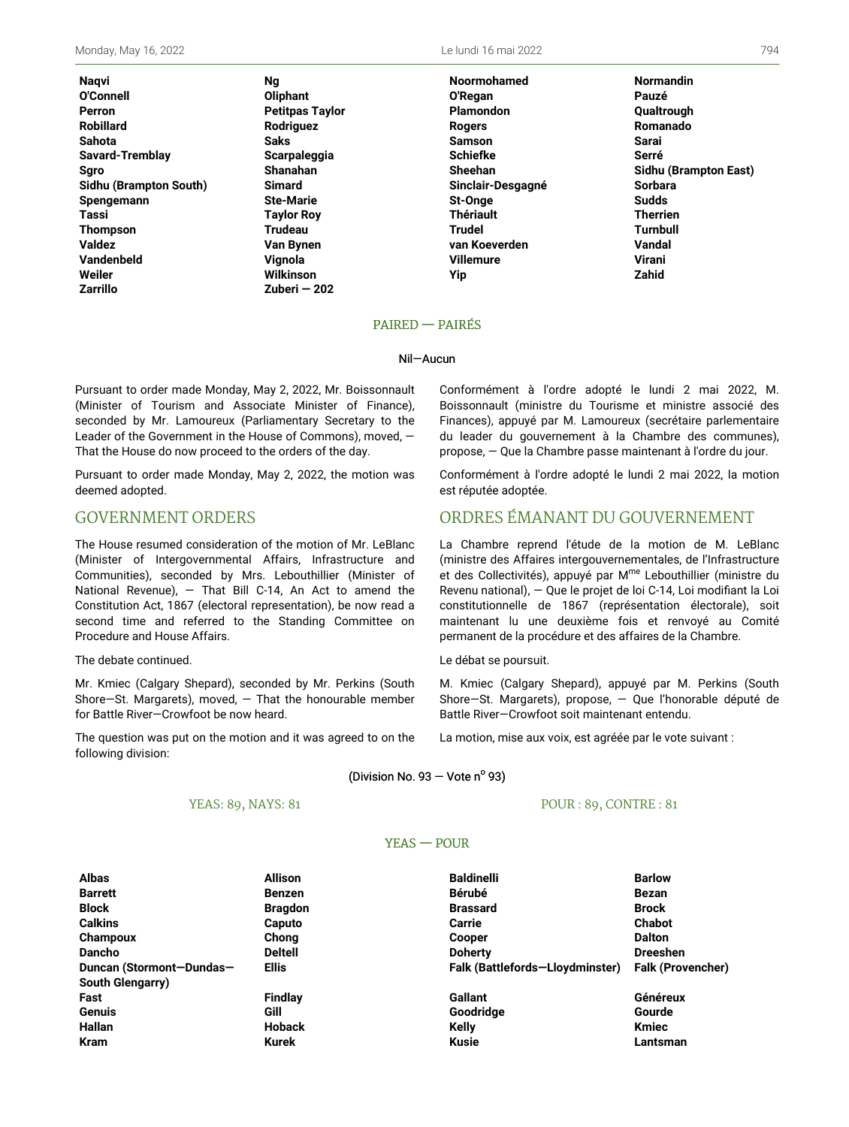Nagvi O'Connell Perron **Robillard** Sahota Savard-Tremblay **Sgro** Sidhu (Brampton South) Spengemann **Tassi Thompson Valdez Vandenbeld** Weiler **Zarrillo** 

**Ng** Olipha Petitp Rodri **Saks Scarp** Shana Simar Ste-M **Tavlo Trude** Van B Viano Wilkir Zuberi - 202 Le lundi 16 mai 2022

|            | <b>Noormohamed</b> | <b>Normandin</b>      |
|------------|--------------------|-----------------------|
| ant        | O'Regan            | Pauzé                 |
| งas Taylor | <b>Plamondon</b>   | Qualtrough            |
| guez       | <b>Rogers</b>      | Romanado              |
|            | <b>Samson</b>      | Sarai                 |
| aleggia    | <b>Schiefke</b>    | Serré                 |
| ahan       | Sheehan            | Sidhu (Brampton East) |
| rd         | Sinclair-Desgagné  | <b>Sorbara</b>        |
| 1arie      | St-Onge            | <b>Sudds</b>          |
| r Rov      | <b>Thériault</b>   | <b>Therrien</b>       |
| au:        | Trudel             | <b>Turnbull</b>       |
| }ynen      | van Koeverden      | Vandal                |
| ۱a         | <b>Villemure</b>   | Virani                |
| ารon       | Yip                | Zahid                 |
| ri — 202   |                    |                       |

#### **PAIRED - PAIRÉS**

#### Nil-Aucun

Pursuant to order made Monday, May 2, 2022, Mr. Boissonnault (Minister of Tourism and Associate Minister of Finance), seconded by Mr. Lamoureux (Parliamentary Secretary to the Leader of the Government in the House of Commons), moved, -That the House do now proceed to the orders of the day.

Pursuant to order made Monday, May 2, 2022, the motion was deemed adopted.

## **GOVERNMENT ORDERS**

The House resumed consideration of the motion of Mr. LeBlanc (Minister of Intergovernmental Affairs, Infrastructure and Communities), seconded by Mrs. Lebouthillier (Minister of National Revenue), - That Bill C-14, An Act to amend the Constitution Act, 1867 (electoral representation), be now read a second time and referred to the Standing Committee on Procedure and House Affairs.

#### The debate continued.

Mr. Kmiec (Calgary Shepard), seconded by Mr. Perkins (South Shore-St. Margarets), moved,  $-$  That the honourable member for Battle River-Crowfoot be now heard.

The question was put on the motion and it was agreed to on the following division:

Conformément à l'ordre adopté le lundi 2 mai 2022, M. Boissonnault (ministre du Tourisme et ministre associé des Finances), appuyé par M. Lamoureux (secrétaire parlementaire du leader du gouvernement à la Chambre des communes), propose, - Que la Chambre passe maintenant à l'ordre du jour.

Conformément à l'ordre adopté le lundi 2 mai 2022, la motion est réputée adoptée.

# ORDRES ÉMANANT DU GOUVERNEMENT

La Chambre reprend l'étude de la motion de M. LeBlanc (ministre des Affaires intergouvernementales, de l'Infrastructure et des Collectivités), appuyé par M<sup>me</sup> Lebouthillier (ministre du Revenu national), - Que le projet de loi C-14, Loi modifiant la Loi constitutionnelle de 1867 (représentation électorale), soit maintenant lu une deuxième fois et renvoyé au Comité permanent de la procédure et des affaires de la Chambre.

Le débat se poursuit.

M. Kmiec (Calgary Shepard), appuyé par M. Perkins (South Shore-St. Margarets), propose, - Que l'honorable député de Battle River-Crowfoot soit maintenant entendu.

La motion, mise aux voix, est agréée par le vote suivant :

(Division No. 93 – Vote  $n^{\circ}$  93)

### YEAS: 89, NAYS: 81

#### POUR: 89, CONTRE: 81

## $YEAS - POUR$

| <b>Albas</b>             | <b>Allison</b> | <b>Baldinelli</b>               | <b>Barlow</b>            |
|--------------------------|----------------|---------------------------------|--------------------------|
| <b>Barrett</b>           | <b>Benzen</b>  | Bérubé                          | <b>Bezan</b>             |
| <b>Block</b>             | <b>Bragdon</b> | <b>Brassard</b>                 | <b>Brock</b>             |
| <b>Calkins</b>           | Caputo         | Carrie                          | <b>Chabot</b>            |
| Champoux                 | Chong          | <b>Cooper</b>                   | <b>Dalton</b>            |
| <b>Dancho</b>            | <b>Deltell</b> | <b>Doherty</b>                  | <b>Dreeshen</b>          |
| Duncan (Stormont-Dundas- | <b>Ellis</b>   | Falk (Battlefords-Lloydminster) | <b>Falk (Provencher)</b> |
| South Glengarry)         |                |                                 |                          |
| Fast                     | <b>Findlay</b> | <b>Gallant</b>                  | <b>Généreux</b>          |
| <b>Genuis</b>            | Gill           | Goodridge                       | Gourde                   |
| <b>Hallan</b>            | <b>Hoback</b>  | Kelly                           | <b>Kmiec</b>             |
| <b>Kram</b>              | Kurek          | <b>Kusie</b>                    | Lantsman                 |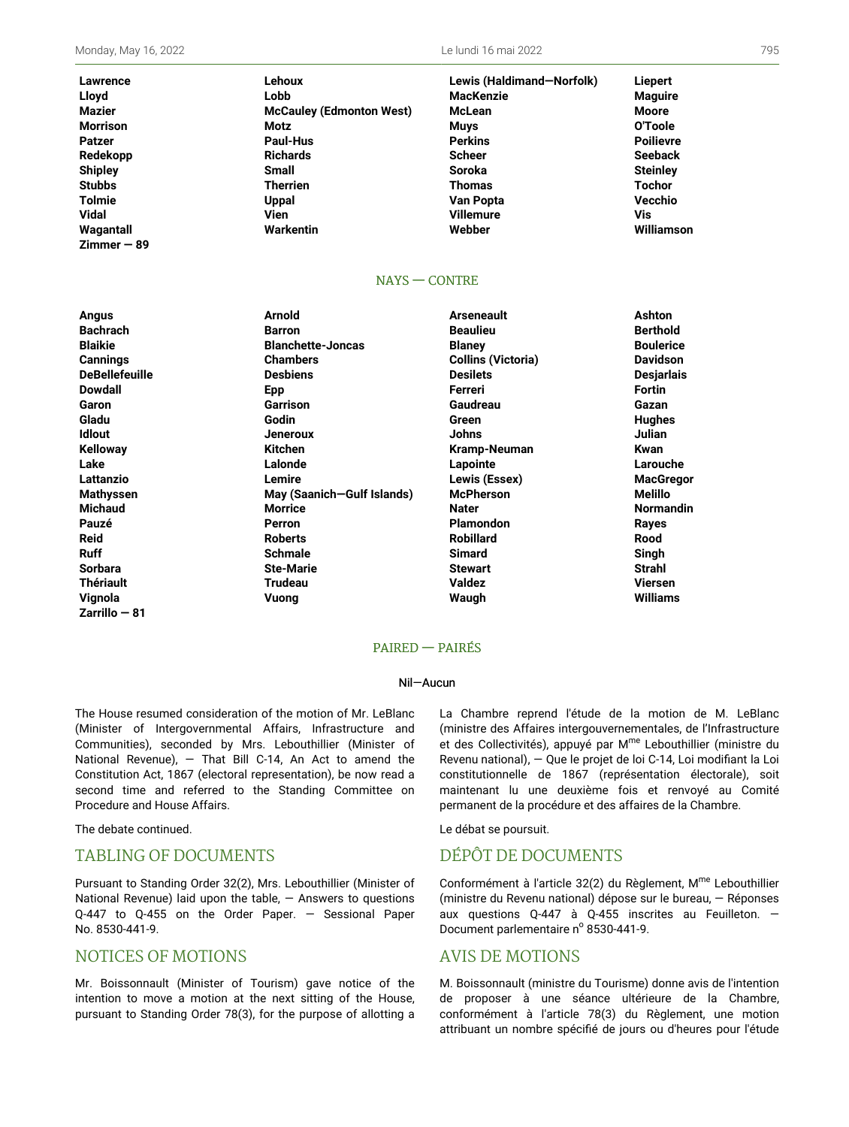Le lundi 16 mai 2022

| Lawrence        | Lehoux                          | Lewis (Haldimand-Norfolk) | <b>Liepert</b>   |
|-----------------|---------------------------------|---------------------------|------------------|
| Lloyd           | Lobb                            | <b>MacKenzie</b>          | <b>Maguire</b>   |
| <b>Mazier</b>   | <b>McCauley (Edmonton West)</b> | McLean                    | Moore            |
| <b>Morrison</b> | Motz                            | <b>Muys</b>               | O'Toole          |
| <b>Patzer</b>   | Paul-Hus                        | <b>Perkins</b>            | <b>Poilievre</b> |
| Redekopp        | <b>Richards</b>                 | <b>Scheer</b>             | <b>Seeback</b>   |
| <b>Shipley</b>  | <b>Small</b>                    | <b>Soroka</b>             | <b>Steinley</b>  |
| <b>Stubbs</b>   | <b>Therrien</b>                 | <b>Thomas</b>             | <b>Tochor</b>    |
| <b>Tolmie</b>   | <b>Uppal</b>                    | Van Popta                 | Vecchio          |
| <b>Vidal</b>    | Vien                            | <b>Villemure</b>          | Vis              |
| Wagantall       | Warkentin                       | Webber                    | Williamson       |
| $Zimmer - 89$   |                                 |                           |                  |

#### $NAYS - CONTRE$

| Angus                 | <b>Arnold</b>              | <b>Arseneault</b>         | Ashton            |
|-----------------------|----------------------------|---------------------------|-------------------|
| <b>Bachrach</b>       | <b>Barron</b>              | <b>Beaulieu</b>           | <b>Berthold</b>   |
| <b>Blaikie</b>        | <b>Blanchette-Joncas</b>   | <b>Blaney</b>             | <b>Boulerice</b>  |
| <b>Cannings</b>       | <b>Chambers</b>            | <b>Collins (Victoria)</b> | <b>Davidson</b>   |
| <b>DeBellefeuille</b> | <b>Desbiens</b>            | <b>Desilets</b>           | <b>Desjarlais</b> |
| <b>Dowdall</b>        | <b>Epp</b>                 | Ferreri                   | <b>Fortin</b>     |
| Garon                 | Garrison                   | Gaudreau                  | Gazan             |
| Gladu                 | Godin                      | Green                     | <b>Hughes</b>     |
| <b>Idlout</b>         | <b>Jeneroux</b>            | Johns                     | Julian            |
| <b>Kelloway</b>       | <b>Kitchen</b>             | Kramp-Neuman              | Kwan              |
| Lake                  | Lalonde                    | Lapointe                  | Larouche          |
| Lattanzio             | Lemire                     | Lewis (Essex)             | <b>MacGregor</b>  |
| <b>Mathyssen</b>      | May (Saanich-Gulf Islands) | <b>McPherson</b>          | Melillo           |
| <b>Michaud</b>        | <b>Morrice</b>             | <b>Nater</b>              | <b>Normandin</b>  |
| Pauzé                 | Perron                     | Plamondon                 | Rayes             |
| <b>Reid</b>           | <b>Roberts</b>             | <b>Robillard</b>          | Rood              |
| <b>Ruff</b>           | <b>Schmale</b>             | <b>Simard</b>             | Singh             |
| <b>Sorbara</b>        | <b>Ste-Marie</b>           | <b>Stewart</b>            | Strahl            |
| <b>Thériault</b>      | <b>Trudeau</b>             | <b>Valdez</b>             | <b>Viersen</b>    |
| Vignola               | Vuong                      | Waugh                     | <b>Williams</b>   |
| Zarrillo — 81         |                            |                           |                   |

#### **PAIRED - PAIRÉS**

#### Nil-Aucun

The House resumed consideration of the motion of Mr. LeBlanc (Minister of Intergovernmental Affairs, Infrastructure and Communities), seconded by Mrs. Lebouthillier (Minister of National Revenue), - That Bill C-14, An Act to amend the Constitution Act, 1867 (electoral representation), be now read a second time and referred to the Standing Committee on Procedure and House Affairs.

The debate continued.

## **TABLING OF DOCUMENTS**

Pursuant to Standing Order 32(2), Mrs. Lebouthillier (Minister of National Revenue) laid upon the table,  $-$  Answers to questions Q-447 to Q-455 on the Order Paper. - Sessional Paper No. 8530-441-9.

## **NOTICES OF MOTIONS**

Mr. Boissonnault (Minister of Tourism) gave notice of the intention to move a motion at the next sitting of the House, pursuant to Standing Order 78(3), for the purpose of allotting a La Chambre reprend l'étude de la motion de M. LeBlanc (ministre des Affaires intergouvernementales, de l'Infrastructure et des Collectivités), appuyé par M<sup>me</sup> Lebouthillier (ministre du Revenu national), - Que le projet de loi C-14, Loi modifiant la Loi constitutionnelle de 1867 (représentation électorale), soit maintenant lu une deuxième fois et renvoyé au Comité permanent de la procédure et des affaires de la Chambre.

Le débat se poursuit.

## DÉPÔT DE DOCUMENTS

Conformément à l'article 32(2) du Règlement, M<sup>me</sup> Lebouthillier (ministre du Revenu national) dépose sur le bureau, - Réponses aux questions Q-447 à Q-455 inscrites au Feuilleton. -Document parlementaire n° 8530-441-9.

## **AVIS DE MOTIONS**

M. Boissonnault (ministre du Tourisme) donne avis de l'intention de proposer à une séance ultérieure de la Chambre, conformément à l'article 78(3) du Règlement, une motion attribuant un nombre spécifié de jours ou d'heures pour l'étude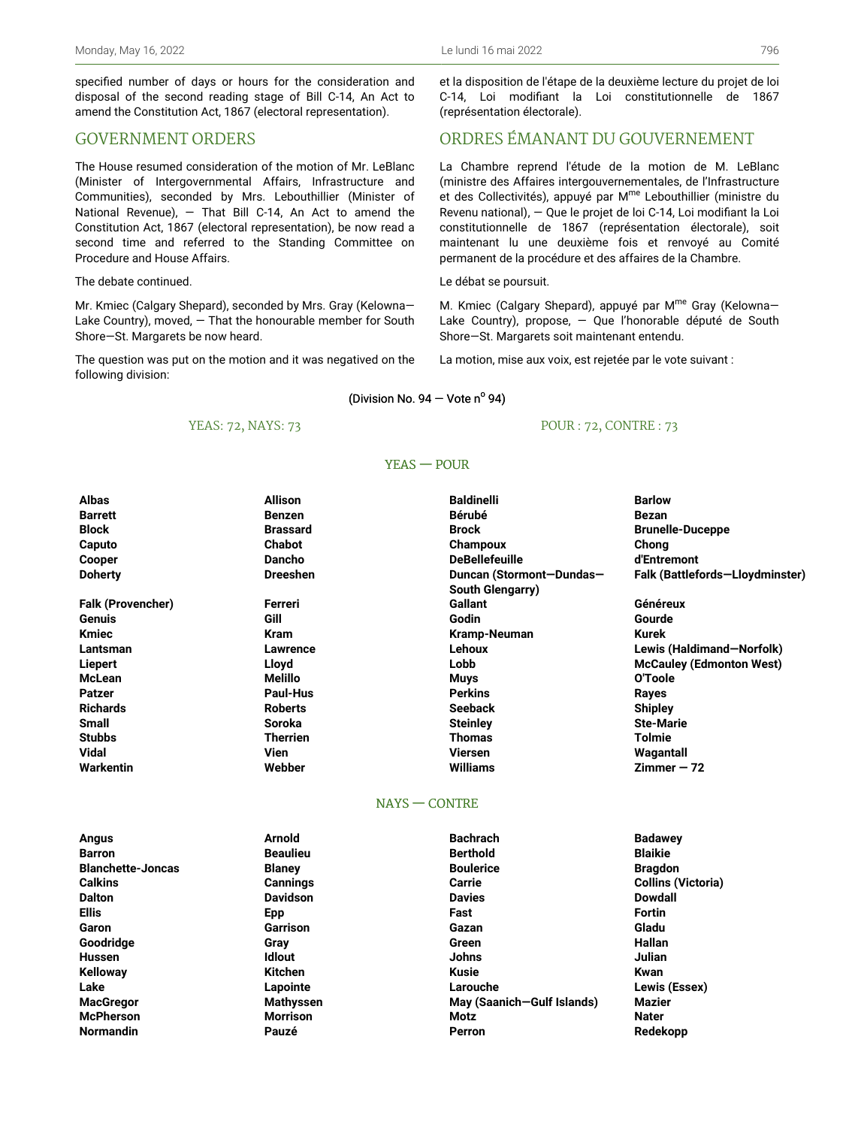specified number of days or hours for the consideration and disposal of the second reading stage of Bill C-14, An Act to amend the Constitution Act, 1867 (electoral representation).

## GOVERNMENT ORDERS

The House resumed consideration of the motion of Mr. LeBlanc (Minister of Intergovernmental Affairs, Infrastructure and Communities), seconded by Mrs. Lebouthillier (Minister of National Revenue), — That Bill C-14, An Act to amend the Constitution Act, 1867 (electoral representation), be now read a second time and referred to the Standing Committee on Procedure and House Affairs.

#### The debate continued.

Mr. Kmiec (Calgary Shepard), seconded by Mrs. Gray (Kelowna— Lake Country), moved, — That the honourable member for South Shore—St. Margarets be now heard.

The question was put on the motion and it was negatived on the following division:

### et la disposition de l'étape de la deuxième lecture du projet de loi C-14, Loi modifiant la Loi constitutionnelle de 1867 (représentation électorale).

## ORDRES ÉMANANT DU GOUVERNEMENT

La Chambre reprend l'étude de la motion de M. LeBlanc (ministre des Affaires intergouvernementales, de l'Infrastructure et des Collectivités), appuyé par M<sup>me</sup> Lebouthillier (ministre du Revenu national), — Que le projet de loi C-14, Loi modifiant la Loi constitutionnelle de 1867 (représentation électorale), soit maintenant lu une deuxième fois et renvoyé au Comité permanent de la procédure et des affaires de la Chambre.

#### Le débat se poursuit.

M. Kmiec (Calgary Shepard), appuyé par M<sup>me</sup> Gray (Kelowna-Lake Country), propose, — Que l'honorable député de South Shore—St. Margarets soit maintenant entendu.

La motion, mise aux voix, est rejetée par le vote suivant :

### (Division No. 94 – Vote nº 94)

### YEAS: 72, NAYS: 73

### POUR : 72, CONTRE : 73

#### YEAS — POUR

| <b>Albas</b>             | <b>Allison</b>  | <b>Baldinelli</b>        | <b>Barlow</b>                   |
|--------------------------|-----------------|--------------------------|---------------------------------|
| <b>Barrett</b>           | <b>Benzen</b>   | <b>Bérubé</b>            | Bezan                           |
| <b>Block</b>             | <b>Brassard</b> | <b>Brock</b>             | <b>Brunelle-Duceppe</b>         |
| Caputo                   | <b>Chabot</b>   | Champoux                 | Chong                           |
| Cooper                   | <b>Dancho</b>   | <b>DeBellefeuille</b>    | d'Entremont                     |
| <b>Doherty</b>           | <b>Dreeshen</b> | Duncan (Stormont-Dundas- | Falk (Battlefords-Lloydminster) |
|                          |                 | South Glengarry)         |                                 |
| <b>Falk (Provencher)</b> | Ferreri         | Gallant                  | Généreux                        |
| Genuis                   | Gill            | Godin                    | Gourde                          |
| <b>Kmiec</b>             | <b>Kram</b>     | Kramp-Neuman             | Kurek                           |
| Lantsman                 | Lawrence        | Lehoux                   | Lewis (Haldimand-Norfolk)       |
| Liepert                  | Lloyd           | Lobb                     | <b>McCauley (Edmonton West)</b> |
| McLean                   | Melillo         | <b>Muys</b>              | O'Toole                         |
| <b>Patzer</b>            | Paul-Hus        | <b>Perkins</b>           | Rayes                           |
| <b>Richards</b>          | <b>Roberts</b>  | <b>Seeback</b>           | <b>Shipley</b>                  |
| <b>Small</b>             | <b>Soroka</b>   | <b>Steinley</b>          | <b>Ste-Marie</b>                |
| <b>Stubbs</b>            | <b>Therrien</b> | <b>Thomas</b>            | Tolmie                          |
| <b>Vidal</b>             | Vien            | <b>Viersen</b>           | Wagantall                       |
| Warkentin                | Webber          | Williams                 | $Zimmer - 72$                   |

#### NAYS — CONTRE

| Angus                    | <b>Arnold</b>    | <b>Bachrach</b>            | <b>Badawey</b>            |
|--------------------------|------------------|----------------------------|---------------------------|
| <b>Barron</b>            | <b>Beaulieu</b>  | <b>Berthold</b>            | <b>Blaikie</b>            |
| <b>Blanchette-Joncas</b> | <b>Blaney</b>    | <b>Boulerice</b>           | <b>Bragdon</b>            |
| <b>Calkins</b>           | <b>Cannings</b>  | Carrie                     | <b>Collins (Victoria)</b> |
| <b>Dalton</b>            | <b>Davidson</b>  | <b>Davies</b>              | <b>Dowdall</b>            |
| <b>Ellis</b>             | Epp              | Fast                       | Fortin                    |
| Garon                    | Garrison         | Gazan                      | Gladu                     |
| Goodridge                | Gray             | Green                      | Hallan                    |
| <b>Hussen</b>            | <b>Idlout</b>    | <b>Johns</b>               | Julian                    |
| <b>Kelloway</b>          | <b>Kitchen</b>   | <b>Kusie</b>               | Kwan                      |
| Lake                     | Lapointe         | Larouche                   | Lewis (Essex)             |
| <b>MacGregor</b>         | <b>Mathyssen</b> | May (Saanich-Gulf Islands) | <b>Mazier</b>             |
| <b>McPherson</b>         | <b>Morrison</b>  | Motz                       | <b>Nater</b>              |
| <b>Normandin</b>         | Pauzé            | Perron                     | Redekopp                  |